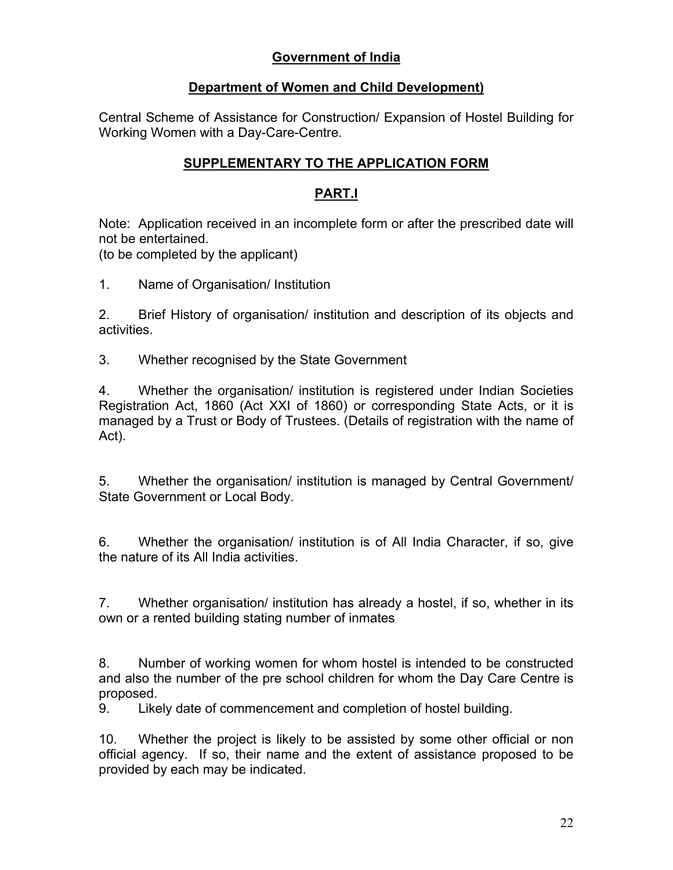## **Government of India**

## **Department of Women and Child Development)**

Central Scheme of Assistance for Construction/ Expansion of Hostel Building for Working Women with a Day-Care-Centre.

## **SUPPLEMENTARY TO THE APPLICATION FORM**

## **PART.I**

Note: Application received in an incomplete form or after the prescribed date will not be entertained.

(to be completed by the applicant)

1. Name of Organisation/ Institution

2. Brief History of organisation/ institution and description of its objects and activities.

3. Whether recognised by the State Government

4. Whether the organisation/ institution is registered under Indian Societies Registration Act, 1860 (Act XXI of 1860) or corresponding State Acts, or it is managed by a Trust or Body of Trustees. (Details of registration with the name of Act).

5. Whether the organisation/ institution is managed by Central Government/ State Government or Local Body.

6. Whether the organisation/ institution is of All India Character, if so, give the nature of its All India activities.

7. Whether organisation/ institution has already a hostel, if so, whether in its own or a rented building stating number of inmates

8. Number of working women for whom hostel is intended to be constructed and also the number of the pre school children for whom the Day Care Centre is proposed.

9. Likely date of commencement and completion of hostel building.

10. Whether the project is likely to be assisted by some other official or non official agency. If so, their name and the extent of assistance proposed to be provided by each may be indicated.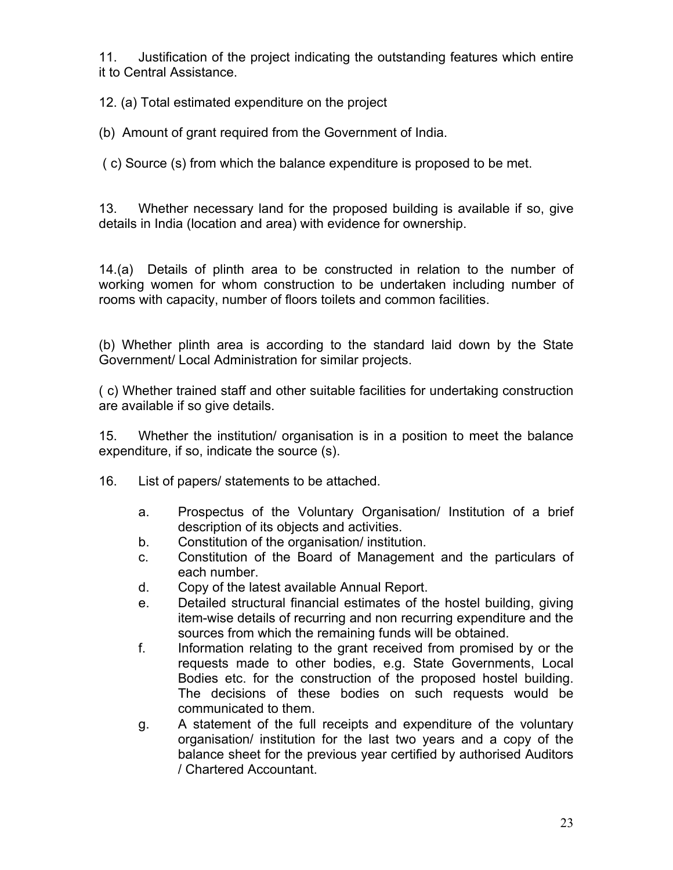11. Justification of the project indicating the outstanding features which entire it to Central Assistance.

12. (a) Total estimated expenditure on the project

(b) Amount of grant required from the Government of India.

( c) Source (s) from which the balance expenditure is proposed to be met.

13. Whether necessary land for the proposed building is available if so, give details in India (location and area) with evidence for ownership.

14.(a) Details of plinth area to be constructed in relation to the number of working women for whom construction to be undertaken including number of rooms with capacity, number of floors toilets and common facilities.

(b) Whether plinth area is according to the standard laid down by the State Government/ Local Administration for similar projects.

( c) Whether trained staff and other suitable facilities for undertaking construction are available if so give details.

15. Whether the institution/ organisation is in a position to meet the balance expenditure, if so, indicate the source (s).

- 16. List of papers/ statements to be attached.
	- a. Prospectus of the Voluntary Organisation/ Institution of a brief description of its objects and activities.
	- b. Constitution of the organisation/ institution.
	- c. Constitution of the Board of Management and the particulars of each number.
	- d. Copy of the latest available Annual Report.
	- e. Detailed structural financial estimates of the hostel building, giving item-wise details of recurring and non recurring expenditure and the sources from which the remaining funds will be obtained.
	- f. Information relating to the grant received from promised by or the requests made to other bodies, e.g. State Governments, Local Bodies etc. for the construction of the proposed hostel building. The decisions of these bodies on such requests would be communicated to them.
	- g. A statement of the full receipts and expenditure of the voluntary organisation/ institution for the last two years and a copy of the balance sheet for the previous year certified by authorised Auditors / Chartered Accountant.